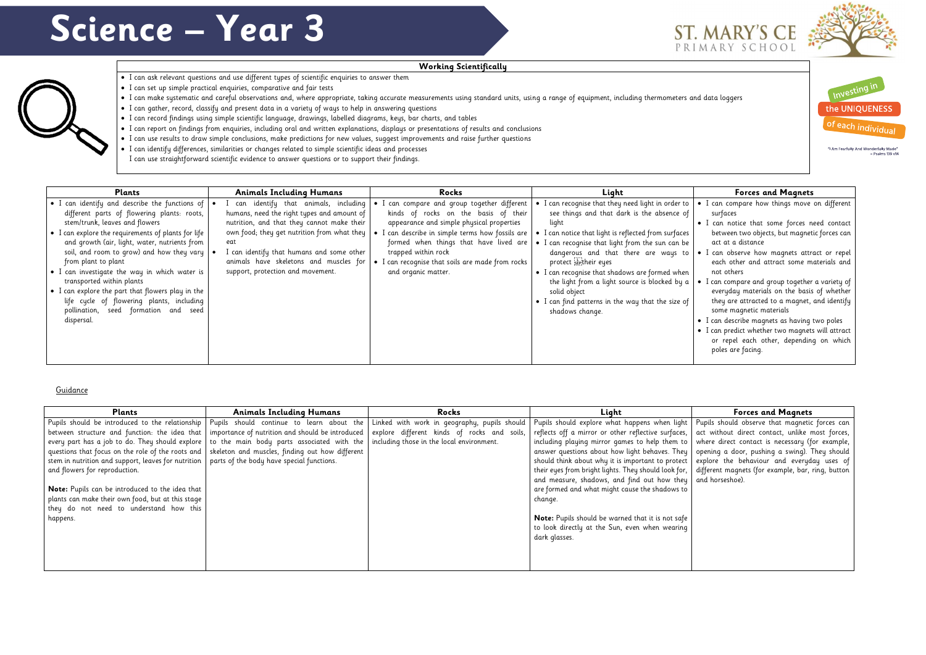## **Working Scientifically**

- I can ask relevant questions and use different types of scientific enquiries to answer them
- I can set up simple practical enquiries, comparative and fair tests
- I can make systematic and careful observations and, where appropriate, taking accurate measurements using standard units, using a range of equipment, including thermometers and data loggers
- I can gather, record, classify and present data in a variety of ways to help in answering questions
- I can record findings using simple scientific language, drawings, labelled diagrams, keys, bar charts, and tables
- I can report on findings from enquiries, including oral and written explanations, displays or presentations of results and conclusions
- I can use results to draw simple conclusions, make predictions for new values, suggest improvements and raise further questions
- I can identify differences, similarities or changes related to simple scientific ideas and processes

• I can use straightforward scientific evidence to answer questions or to support their findings.

## Guidance

| Plants                                              | <b>Animals Including Humans</b>                  | Rocks                                        | Light                                                    |  |
|-----------------------------------------------------|--------------------------------------------------|----------------------------------------------|----------------------------------------------------------|--|
| Pupils should be introduced to the relationship     | Pupils should continue to learn about the        | Linked with work in geography, pupils should | Pupils should explore what happens when light   F        |  |
| between structure and function: the idea that       | importance of nutrition and should be introduced | explore different kinds of rocks and soils,  | reflects off a mirror or other reflective surfaces, a    |  |
| every part has a job to do. They should explore     | to the main body parts associated with the       | including those in the local environment.    | including playing mirror games to help them to $ v $     |  |
| questions that focus on the role of the roots and   | skeleton and muscles, finding out how different  |                                              | answer questions about how light behaves. They   c       |  |
| stem in nutrition and support, leaves for nutrition | parts of the body have special functions.        |                                              | should think about why it is important to protect   e    |  |
| and flowers for reproduction.                       |                                                  |                                              | their eyes from bright lights. They should look for,   d |  |
|                                                     |                                                  |                                              | and measure, shadows, and find out how they   a          |  |
| Note: Pupils can be introduced to the idea that     |                                                  |                                              | are formed and what might cause the shadows to           |  |
| plants can make their own food, but at this stage   |                                                  |                                              | change.                                                  |  |
| they do not need to understand how this             |                                                  |                                              |                                                          |  |
| happens.                                            |                                                  |                                              | <b>Note:</b> Pupils should be warned that it is not safe |  |
|                                                     |                                                  |                                              | to look directly at the Sun, even when wearing           |  |
|                                                     |                                                  |                                              | dark glasses.                                            |  |
|                                                     |                                                  |                                              |                                                          |  |
|                                                     |                                                  |                                              |                                                          |  |
|                                                     |                                                  |                                              |                                                          |  |









"I Am Fearfully And Wonderfully Made"  $-$  Psalms 139  $v14$ 

- I can compare how things move on different surfaces
- I can notice that some forces need contact between two objects, but magnetic forces can act at a distance
- I can observe how magnets attract or repel each other and attract some materials and not others
- I can compare and group together a variety of everyday materials on the basis of whether they are attracted to a magnet, and identify some magnetic materials
- I can describe magnets as having two poles
- I can predict whether two magnets will attract or repel each other, depending on which poles are facing.

## **Forces and Magnets**

Pupils should observe that magnetic forces can act without direct contact, unlike most forces, where direct contact is necessary (for example, opening a door, pushing a swing). They should explore the behaviour and everyday uses of different magnets (for example, bar, ring, button and horseshoe).

| Plants                                                                                                                                                                                                                                                                                                                                                                     | <b>Animals Including Humans</b>                                                                                                                                                                                                                                                                                    | Rocks                                                                                                                                                                                                                                                                                                                       | Light                                                                                                                                                                                                                                                                                                                              | <b>Forces and Magnets</b>                                                                                                                                                                                                                                             |
|----------------------------------------------------------------------------------------------------------------------------------------------------------------------------------------------------------------------------------------------------------------------------------------------------------------------------------------------------------------------------|--------------------------------------------------------------------------------------------------------------------------------------------------------------------------------------------------------------------------------------------------------------------------------------------------------------------|-----------------------------------------------------------------------------------------------------------------------------------------------------------------------------------------------------------------------------------------------------------------------------------------------------------------------------|------------------------------------------------------------------------------------------------------------------------------------------------------------------------------------------------------------------------------------------------------------------------------------------------------------------------------------|-----------------------------------------------------------------------------------------------------------------------------------------------------------------------------------------------------------------------------------------------------------------------|
| • I can identify and describe the functions of $  \bullet  $<br>different parts of flowering plants: roots,<br>stem/trunk, leaves and flowers<br>• I can explore the requirements of plants for life<br>and growth (air, light, water, nutrients from<br>soil, and room to grow) and how they vary<br>from plant to plant<br>• I can investigate the way in which water is | can identify that animals, including<br>humans, need the right types and amount of<br>nutrition, and that they cannot make their<br>own food; they get nutrition from what they<br>eat<br>I can identify that humans and some other<br>animals have skeletons and muscles for<br>support, protection and movement. | can compare and group together different<br>kinds of rocks on the basis of their<br>appearance and simple physical properties<br>I can describe in simple terms how fossils are<br>formed when things that have lived are<br>trapped within rock<br>• I can recognise that soils are made from rocks<br>and organic matter. | I can recognise that they need light in order to<br>see things and that dark is the absence of<br>light<br>I can notice that light is reflected from surfaces<br>I can recognise that light from the sun can be<br>dangerous and that there are ways to<br>protect septheir eyes<br>• I can recognise that shadows are formed when | • I can compare how things move<br>surfaces<br>• I can notice that some forces n<br>between two objects, but magnet<br>act at a distance<br>. I can observe how magnets attre<br>each other and attract some m<br>not others                                          |
| transported within plants<br>• I can explore the part that flowers play in the<br>life cycle of flowering plants, including<br>pollination, seed formation and seed<br>dispersal.                                                                                                                                                                                          |                                                                                                                                                                                                                                                                                                                    |                                                                                                                                                                                                                                                                                                                             | the light from a light source is blocked by a<br>solid object<br>• I can find patterns in the way that the size of<br>shadows change.                                                                                                                                                                                              | I can compare and group together<br>everyday materials on the basis<br>they are attracted to a magnet,<br>some magnetic materials<br>• I can describe magnets as having<br>• I can predict whether two magnets<br>or repel each other, dependine<br>poles are facing. |